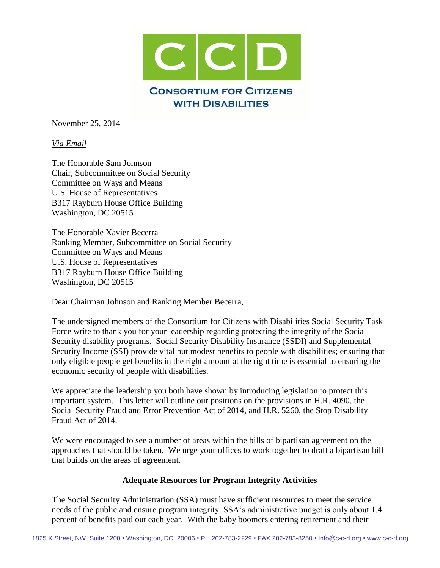

November 25, 2014

*Via Email*

The Honorable Sam Johnson Chair, Subcommittee on Social Security Committee on Ways and Means U.S. House of Representatives B317 Rayburn House Office Building Washington, DC 20515

The Honorable Xavier Becerra Ranking Member, Subcommittee on Social Security Committee on Ways and Means U.S. House of Representatives B317 Rayburn House Office Building Washington, DC 20515

Dear Chairman Johnson and Ranking Member Becerra,

The undersigned members of the Consortium for Citizens with Disabilities Social Security Task Force write to thank you for your leadership regarding protecting the integrity of the Social Security disability programs. Social Security Disability Insurance (SSDI) and Supplemental Security Income (SSI) provide vital but modest benefits to people with disabilities; ensuring that only eligible people get benefits in the right amount at the right time is essential to ensuring the economic security of people with disabilities.

We appreciate the leadership you both have shown by introducing legislation to protect this important system. This letter will outline our positions on the provisions in H.R. 4090, the Social Security Fraud and Error Prevention Act of 2014, and H.R. 5260, the Stop Disability Fraud Act of 2014.

We were encouraged to see a number of areas within the bills of bipartisan agreement on the approaches that should be taken. We urge your offices to work together to draft a bipartisan bill that builds on the areas of agreement.

#### **Adequate Resources for Program Integrity Activities**

The Social Security Administration (SSA) must have sufficient resources to meet the service needs of the public and ensure program integrity. SSA's administrative budget is only about 1.4 percent of benefits paid out each year. With the baby boomers entering retirement and their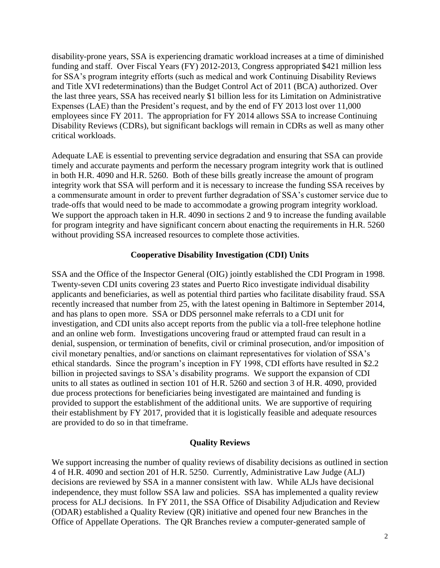disability-prone years, SSA is experiencing dramatic workload increases at a time of diminished funding and staff. Over Fiscal Years (FY) 2012-2013, Congress appropriated \$421 million less for SSA's program integrity efforts (such as medical and work Continuing Disability Reviews and Title XVI redeterminations) than the Budget Control Act of 2011 (BCA) authorized. Over the last three years, SSA has received nearly \$1 billion less for its Limitation on Administrative Expenses (LAE) than the President's request, and by the end of FY 2013 lost over 11,000 employees since FY 2011. The appropriation for FY 2014 allows SSA to increase Continuing Disability Reviews (CDRs), but significant backlogs will remain in CDRs as well as many other critical workloads.

Adequate LAE is essential to preventing service degradation and ensuring that SSA can provide timely and accurate payments and perform the necessary program integrity work that is outlined in both H.R. 4090 and H.R. 5260. Both of these bills greatly increase the amount of program integrity work that SSA will perform and it is necessary to increase the funding SSA receives by a commensurate amount in order to prevent further degradation of SSA's customer service due to trade-offs that would need to be made to accommodate a growing program integrity workload. We support the approach taken in H.R. 4090 in sections 2 and 9 to increase the funding available for program integrity and have significant concern about enacting the requirements in H.R. 5260 without providing SSA increased resources to complete those activities.

#### **Cooperative Disability Investigation (CDI) Units**

SSA and the Office of the Inspector General (OIG) jointly established the CDI Program in 1998. Twenty-seven CDI units covering 23 states and Puerto Rico investigate individual disability applicants and beneficiaries, as well as potential third parties who facilitate disability fraud. SSA recently increased that number from 25, with the latest opening in Baltimore in September 2014, and has plans to open more. SSA or DDS personnel make referrals to a CDI unit for investigation, and CDI units also accept reports from the public via a toll-free telephone hotline and an online web form. Investigations uncovering fraud or attempted fraud can result in a denial, suspension, or termination of benefits, civil or criminal prosecution, and/or imposition of civil monetary penalties, and/or sanctions on claimant representatives for violation of SSA's ethical standards. Since the program's inception in FY 1998, CDI efforts have resulted in \$2.2 billion in projected savings to SSA's disability programs. We support the expansion of CDI units to all states as outlined in section 101 of H.R. 5260 and section 3 of H.R. 4090, provided due process protections for beneficiaries being investigated are maintained and funding is provided to support the establishment of the additional units. We are supportive of requiring their establishment by FY 2017, provided that it is logistically feasible and adequate resources are provided to do so in that timeframe.

#### **Quality Reviews**

We support increasing the number of quality reviews of disability decisions as outlined in section 4 of H.R. 4090 and section 201 of H.R. 5250. Currently, Administrative Law Judge (ALJ) decisions are reviewed by SSA in a manner consistent with law. While ALJs have decisional independence, they must follow SSA law and policies. SSA has implemented a quality review process for ALJ decisions. In FY 2011, the SSA Office of Disability Adjudication and Review (ODAR) established a Quality Review (QR) initiative and opened four new Branches in the Office of Appellate Operations. The QR Branches review a computer-generated sample of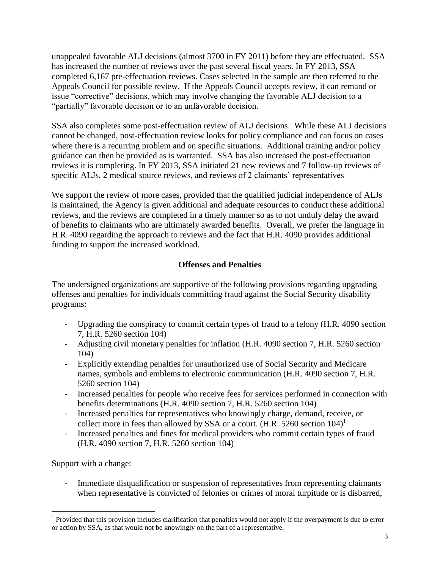unappealed favorable ALJ decisions (almost 3700 in FY 2011) before they are effectuated. SSA has increased the number of reviews over the past several fiscal years. In FY 2013, SSA completed 6,167 pre-effectuation reviews. Cases selected in the sample are then referred to the Appeals Council for possible review. If the Appeals Council accepts review, it can remand or issue "corrective" decisions, which may involve changing the favorable ALJ decision to a "partially" favorable decision or to an unfavorable decision.

SSA also completes some post-effectuation review of ALJ decisions. While these ALJ decisions cannot be changed, post-effectuation review looks for policy compliance and can focus on cases where there is a recurring problem and on specific situations. Additional training and/or policy guidance can then be provided as is warranted. SSA has also increased the post-effectuation reviews it is completing. In FY 2013, SSA initiated 21 new reviews and 7 follow-up reviews of specific ALJs, 2 medical source reviews, and reviews of 2 claimants' representatives

We support the review of more cases, provided that the qualified judicial independence of ALJs is maintained, the Agency is given additional and adequate resources to conduct these additional reviews, and the reviews are completed in a timely manner so as to not unduly delay the award of benefits to claimants who are ultimately awarded benefits. Overall, we prefer the language in H.R. 4090 regarding the approach to reviews and the fact that H.R. 4090 provides additional funding to support the increased workload.

## **Offenses and Penalties**

The undersigned organizations are supportive of the following provisions regarding upgrading offenses and penalties for individuals committing fraud against the Social Security disability programs:

- Upgrading the conspiracy to commit certain types of fraud to a felony (H.R. 4090 section 7, H.R. 5260 section 104)
- Adjusting civil monetary penalties for inflation (H.R. 4090 section 7, H.R. 5260 section 104)
- Explicitly extending penalties for unauthorized use of Social Security and Medicare names, symbols and emblems to electronic communication (H.R. 4090 section 7, H.R. 5260 section 104)
- Increased penalties for people who receive fees for services performed in connection with benefits determinations (H.R. 4090 section 7, H.R. 5260 section 104)
- Increased penalties for representatives who knowingly charge, demand, receive, or collect more in fees than allowed by SSA or a court. (H.R. 5260 section  $104$ )<sup>1</sup>
- Increased penalties and fines for medical providers who commit certain types of fraud (H.R. 4090 section 7, H.R. 5260 section 104)

Support with a change:

 $\overline{a}$ 

Immediate disqualification or suspension of representatives from representing claimants when representative is convicted of felonies or crimes of moral turpitude or is disbarred,

<sup>1</sup> Provided that this provision includes clarification that penalties would not apply if the overpayment is due to error or action by SSA, as that would not be knowingly on the part of a representative.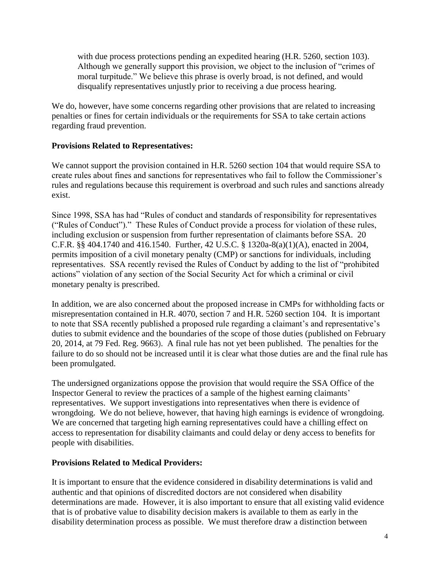with due process protections pending an expedited hearing (H.R. 5260, section 103). Although we generally support this provision, we object to the inclusion of "crimes of moral turpitude." We believe this phrase is overly broad, is not defined, and would disqualify representatives unjustly prior to receiving a due process hearing.

We do, however, have some concerns regarding other provisions that are related to increasing penalties or fines for certain individuals or the requirements for SSA to take certain actions regarding fraud prevention.

## **Provisions Related to Representatives:**

We cannot support the provision contained in H.R. 5260 section 104 that would require SSA to create rules about fines and sanctions for representatives who fail to follow the Commissioner's rules and regulations because this requirement is overbroad and such rules and sanctions already exist.

Since 1998, SSA has had "Rules of conduct and standards of responsibility for representatives ("Rules of Conduct")." These Rules of Conduct provide a process for violation of these rules, including exclusion or suspension from further representation of claimants before SSA. 20 C.F.R. §§ 404.1740 and 416.1540. Further, 42 U.S.C. § 1320a-8(a)(1)(A), enacted in 2004, permits imposition of a civil monetary penalty (CMP) or sanctions for individuals, including representatives. SSA recently revised the Rules of Conduct by adding to the list of "prohibited actions" violation of any section of the Social Security Act for which a criminal or civil monetary penalty is prescribed.

In addition, we are also concerned about the proposed increase in CMPs for withholding facts or misrepresentation contained in H.R. 4070, section 7 and H.R. 5260 section 104. It is important to note that SSA recently published a proposed rule regarding a claimant's and representative's duties to submit evidence and the boundaries of the scope of those duties (published on February 20, 2014, at 79 Fed. Reg. 9663). A final rule has not yet been published. The penalties for the failure to do so should not be increased until it is clear what those duties are and the final rule has been promulgated.

The undersigned organizations oppose the provision that would require the SSA Office of the Inspector General to review the practices of a sample of the highest earning claimants' representatives. We support investigations into representatives when there is evidence of wrongdoing. We do not believe, however, that having high earnings is evidence of wrongdoing. We are concerned that targeting high earning representatives could have a chilling effect on access to representation for disability claimants and could delay or deny access to benefits for people with disabilities.

## **Provisions Related to Medical Providers:**

It is important to ensure that the evidence considered in disability determinations is valid and authentic and that opinions of discredited doctors are not considered when disability determinations are made. However, it is also important to ensure that all existing valid evidence that is of probative value to disability decision makers is available to them as early in the disability determination process as possible. We must therefore draw a distinction between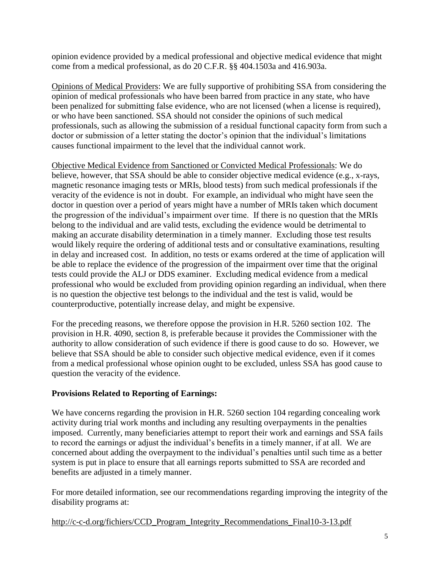opinion evidence provided by a medical professional and objective medical evidence that might come from a medical professional, as do 20 C.F.R. §§ 404.1503a and 416.903a.

Opinions of Medical Providers: We are fully supportive of prohibiting SSA from considering the opinion of medical professionals who have been barred from practice in any state, who have been penalized for submitting false evidence, who are not licensed (when a license is required), or who have been sanctioned. SSA should not consider the opinions of such medical professionals, such as allowing the submission of a residual functional capacity form from such a doctor or submission of a letter stating the doctor's opinion that the individual's limitations causes functional impairment to the level that the individual cannot work.

Objective Medical Evidence from Sanctioned or Convicted Medical Professionals: We do believe, however, that SSA should be able to consider objective medical evidence (e.g., x-rays, magnetic resonance imaging tests or MRIs, blood tests) from such medical professionals if the veracity of the evidence is not in doubt. For example, an individual who might have seen the doctor in question over a period of years might have a number of MRIs taken which document the progression of the individual's impairment over time. If there is no question that the MRIs belong to the individual and are valid tests, excluding the evidence would be detrimental to making an accurate disability determination in a timely manner. Excluding those test results would likely require the ordering of additional tests and or consultative examinations, resulting in delay and increased cost. In addition, no tests or exams ordered at the time of application will be able to replace the evidence of the progression of the impairment over time that the original tests could provide the ALJ or DDS examiner. Excluding medical evidence from a medical professional who would be excluded from providing opinion regarding an individual, when there is no question the objective test belongs to the individual and the test is valid, would be counterproductive, potentially increase delay, and might be expensive.

For the preceding reasons, we therefore oppose the provision in H.R. 5260 section 102. The provision in H.R. 4090, section 8, is preferable because it provides the Commissioner with the authority to allow consideration of such evidence if there is good cause to do so. However, we believe that SSA should be able to consider such objective medical evidence, even if it comes from a medical professional whose opinion ought to be excluded, unless SSA has good cause to question the veracity of the evidence.

# **Provisions Related to Reporting of Earnings:**

We have concerns regarding the provision in H.R. 5260 section 104 regarding concealing work activity during trial work months and including any resulting overpayments in the penalties imposed. Currently, many beneficiaries attempt to report their work and earnings and SSA fails to record the earnings or adjust the individual's benefits in a timely manner, if at all. We are concerned about adding the overpayment to the individual's penalties until such time as a better system is put in place to ensure that all earnings reports submitted to SSA are recorded and benefits are adjusted in a timely manner.

For more detailed information, see our recommendations regarding improving the integrity of the disability programs at:

[http://c-c-d.org/fichiers/CCD\\_Program\\_Integrity\\_Recommendations\\_Final10-3-13.pdf](http://c-c-d.org/fichiers/CCD_Program_Integrity_Recommendations_Final10-3-13.pdf)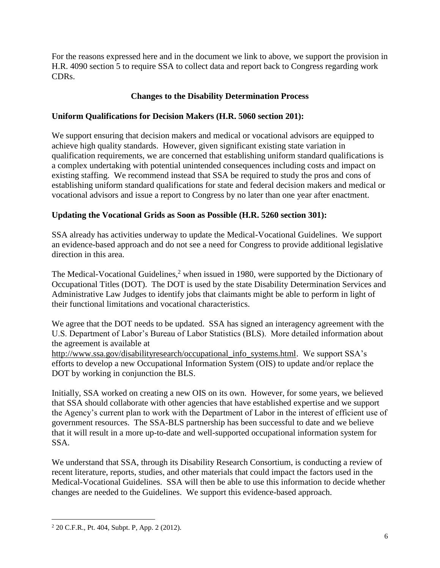For the reasons expressed here and in the document we link to above, we support the provision in H.R. 4090 section 5 to require SSA to collect data and report back to Congress regarding work CDRs.

# **Changes to the Disability Determination Process**

## **Uniform Qualifications for Decision Makers (H.R. 5060 section 201):**

We support ensuring that decision makers and medical or vocational advisors are equipped to achieve high quality standards. However, given significant existing state variation in qualification requirements, we are concerned that establishing uniform standard qualifications is a complex undertaking with potential unintended consequences including costs and impact on existing staffing. We recommend instead that SSA be required to study the pros and cons of establishing uniform standard qualifications for state and federal decision makers and medical or vocational advisors and issue a report to Congress by no later than one year after enactment.

# **Updating the Vocational Grids as Soon as Possible (H.R. 5260 section 301):**

SSA already has activities underway to update the Medical-Vocational Guidelines. We support an evidence-based approach and do not see a need for Congress to provide additional legislative direction in this area.

The Medical-Vocational Guidelines,<sup>2</sup> when issued in 1980, were supported by the Dictionary of Occupational Titles (DOT). The DOT is used by the state Disability Determination Services and Administrative Law Judges to identify jobs that claimants might be able to perform in light of their functional limitations and vocational characteristics.

We agree that the DOT needs to be updated. SSA has signed an interagency agreement with the U.S. Department of Labor's Bureau of Labor Statistics (BLS). More detailed information about the agreement is available at [http://www.ssa.gov/disabilityresearch/occupational\\_info\\_systems.html.](http://www.ssa.gov/disabilityresearch/occupational_info_systems.html) We support SSA's

efforts to develop a new Occupational Information System (OIS) to update and/or replace the DOT by working in conjunction the BLS.

Initially, SSA worked on creating a new OIS on its own. However, for some years, we believed that SSA should collaborate with other agencies that have established expertise and we support the Agency's current plan to work with the Department of Labor in the interest of efficient use of government resources. The SSA-BLS partnership has been successful to date and we believe that it will result in a more up-to-date and well-supported occupational information system for SSA.

We understand that SSA, through its Disability Research Consortium, is conducting a review of recent literature, reports, studies, and other materials that could impact the factors used in the Medical-Vocational Guidelines. SSA will then be able to use this information to decide whether changes are needed to the Guidelines. We support this evidence-based approach.

 $\overline{a}$ 

<sup>2</sup> 20 C.F.R., Pt. 404, Subpt. P, App. 2 (2012).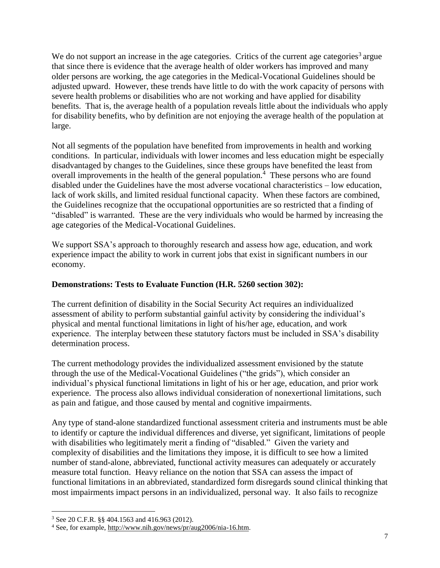We do not support an increase in the age categories. Critics of the current age categories<sup>3</sup> argue that since there is evidence that the average health of older workers has improved and many older persons are working, the age categories in the Medical-Vocational Guidelines should be adjusted upward. However, these trends have little to do with the work capacity of persons with severe health problems or disabilities who are not working and have applied for disability benefits. That is, the average health of a population reveals little about the individuals who apply for disability benefits, who by definition are not enjoying the average health of the population at large.

Not all segments of the population have benefited from improvements in health and working conditions. In particular, individuals with lower incomes and less education might be especially disadvantaged by changes to the Guidelines, since these groups have benefited the least from overall improvements in the health of the general population.<sup>4</sup> These persons who are found disabled under the Guidelines have the most adverse vocational characteristics – low education, lack of work skills, and limited residual functional capacity. When these factors are combined, the Guidelines recognize that the occupational opportunities are so restricted that a finding of "disabled" is warranted. These are the very individuals who would be harmed by increasing the age categories of the Medical-Vocational Guidelines.

We support SSA's approach to thoroughly research and assess how age, education, and work experience impact the ability to work in current jobs that exist in significant numbers in our economy.

## **Demonstrations: Tests to Evaluate Function (H.R. 5260 section 302):**

The current definition of disability in the Social Security Act requires an individualized assessment of ability to perform substantial gainful activity by considering the individual's physical and mental functional limitations in light of his/her age, education, and work experience. The interplay between these statutory factors must be included in SSA's disability determination process.

The current methodology provides the individualized assessment envisioned by the statute through the use of the Medical-Vocational Guidelines ("the grids"), which consider an individual's physical functional limitations in light of his or her age, education, and prior work experience. The process also allows individual consideration of nonexertional limitations, such as pain and fatigue, and those caused by mental and cognitive impairments.

Any type of stand-alone standardized functional assessment criteria and instruments must be able to identify or capture the individual differences and diverse, yet significant, limitations of people with disabilities who legitimately merit a finding of "disabled." Given the variety and complexity of disabilities and the limitations they impose, it is difficult to see how a limited number of stand-alone, abbreviated, functional activity measures can adequately or accurately measure total function. Heavy reliance on the notion that SSA can assess the impact of functional limitations in an abbreviated, standardized form disregards sound clinical thinking that most impairments impact persons in an individualized, personal way. It also fails to recognize

 $\overline{a}$ 

<sup>3</sup> See 20 C.F.R. §§ 404.1563 and 416.963 (2012).

<sup>4</sup> See, for example, [http://www.nih.gov/news/pr/aug2006/nia-16.htm.](http://www.nih.gov/news/pr/aug2006/nia-16.htm)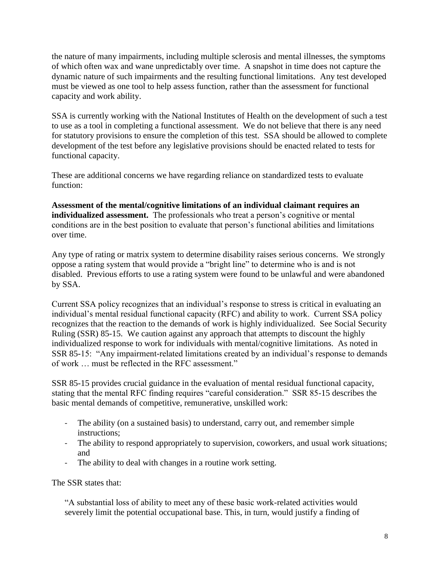the nature of many impairments, including multiple sclerosis and mental illnesses, the symptoms of which often wax and wane unpredictably over time. A snapshot in time does not capture the dynamic nature of such impairments and the resulting functional limitations. Any test developed must be viewed as one tool to help assess function, rather than the assessment for functional capacity and work ability.

SSA is currently working with the National Institutes of Health on the development of such a test to use as a tool in completing a functional assessment. We do not believe that there is any need for statutory provisions to ensure the completion of this test. SSA should be allowed to complete development of the test before any legislative provisions should be enacted related to tests for functional capacity.

These are additional concerns we have regarding reliance on standardized tests to evaluate function:

**Assessment of the mental/cognitive limitations of an individual claimant requires an individualized assessment.** The professionals who treat a person's cognitive or mental conditions are in the best position to evaluate that person's functional abilities and limitations over time.

Any type of rating or matrix system to determine disability raises serious concerns. We strongly oppose a rating system that would provide a "bright line" to determine who is and is not disabled. Previous efforts to use a rating system were found to be unlawful and were abandoned by SSA.

Current SSA policy recognizes that an individual's response to stress is critical in evaluating an individual's mental residual functional capacity (RFC) and ability to work. Current SSA policy recognizes that the reaction to the demands of work is highly individualized. See Social Security Ruling (SSR) 85-15. We caution against any approach that attempts to discount the highly individualized response to work for individuals with mental/cognitive limitations. As noted in SSR 85-15: "Any impairment-related limitations created by an individual's response to demands of work … must be reflected in the RFC assessment."

SSR 85-15 provides crucial guidance in the evaluation of mental residual functional capacity, stating that the mental RFC finding requires "careful consideration." SSR 85-15 describes the basic mental demands of competitive, remunerative, unskilled work:

- The ability (on a sustained basis) to understand, carry out, and remember simple instructions;
- The ability to respond appropriately to supervision, coworkers, and usual work situations; and
- The ability to deal with changes in a routine work setting.

The SSR states that:

"A substantial loss of ability to meet any of these basic work-related activities would severely limit the potential occupational base. This, in turn, would justify a finding of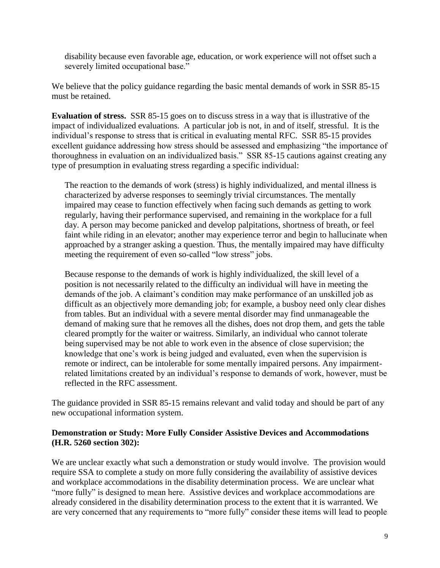disability because even favorable age, education, or work experience will not offset such a severely limited occupational base."

We believe that the policy guidance regarding the basic mental demands of work in SSR 85-15 must be retained.

**Evaluation of stress.** SSR 85-15 goes on to discuss stress in a way that is illustrative of the impact of individualized evaluations. A particular job is not, in and of itself, stressful. It is the individual's response to stress that is critical in evaluating mental RFC. SSR 85-15 provides excellent guidance addressing how stress should be assessed and emphasizing "the importance of thoroughness in evaluation on an individualized basis." SSR 85-15 cautions against creating any type of presumption in evaluating stress regarding a specific individual:

The reaction to the demands of work (stress) is highly individualized, and mental illness is characterized by adverse responses to seemingly trivial circumstances. The mentally impaired may cease to function effectively when facing such demands as getting to work regularly, having their performance supervised, and remaining in the workplace for a full day. A person may become panicked and develop palpitations, shortness of breath, or feel faint while riding in an elevator; another may experience terror and begin to hallucinate when approached by a stranger asking a question. Thus, the mentally impaired may have difficulty meeting the requirement of even so-called "low stress" jobs.

Because response to the demands of work is highly individualized, the skill level of a position is not necessarily related to the difficulty an individual will have in meeting the demands of the job. A claimant's condition may make performance of an unskilled job as difficult as an objectively more demanding job; for example, a busboy need only clear dishes from tables. But an individual with a severe mental disorder may find unmanageable the demand of making sure that he removes all the dishes, does not drop them, and gets the table cleared promptly for the waiter or waitress. Similarly, an individual who cannot tolerate being supervised may be not able to work even in the absence of close supervision; the knowledge that one's work is being judged and evaluated, even when the supervision is remote or indirect, can be intolerable for some mentally impaired persons. Any impairmentrelated limitations created by an individual's response to demands of work, however, must be reflected in the RFC assessment.

The guidance provided in SSR 85-15 remains relevant and valid today and should be part of any new occupational information system.

#### **Demonstration or Study: More Fully Consider Assistive Devices and Accommodations (H.R. 5260 section 302):**

We are unclear exactly what such a demonstration or study would involve. The provision would require SSA to complete a study on more fully considering the availability of assistive devices and workplace accommodations in the disability determination process. We are unclear what "more fully" is designed to mean here. Assistive devices and workplace accommodations are already considered in the disability determination process to the extent that it is warranted. We are very concerned that any requirements to "more fully" consider these items will lead to people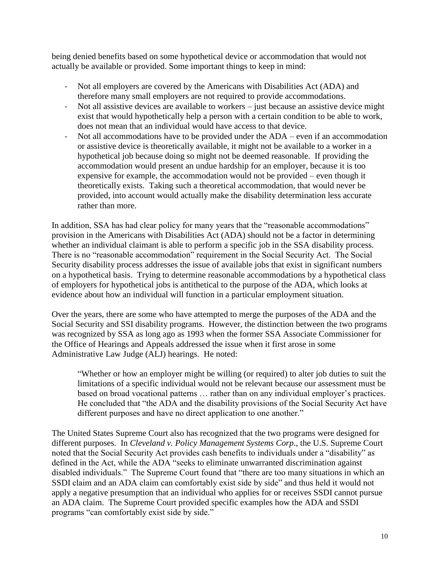being denied benefits based on some hypothetical device or accommodation that would not actually be available or provided. Some important things to keep in mind:

- Not all employers are covered by the Americans with Disabilities Act (ADA) and therefore many small employers are not required to provide accommodations.
- Not all assistive devices are available to workers just because an assistive device might exist that would hypothetically help a person with a certain condition to be able to work, does not mean that an individual would have access to that device.
- Not all accommodations have to be provided under the ADA even if an accommodation or assistive device is theoretically available, it might not be available to a worker in a hypothetical job because doing so might not be deemed reasonable. If providing the accommodation would present an undue hardship for an employer, because it is too expensive for example, the accommodation would not be provided – even though it theoretically exists. Taking such a theoretical accommodation, that would never be provided, into account would actually make the disability determination less accurate rather than more.

In addition, SSA has had clear policy for many years that the "reasonable accommodations" provision in the Americans with Disabilities Act (ADA) should not be a factor in determining whether an individual claimant is able to perform a specific job in the SSA disability process. There is no "reasonable accommodation" requirement in the Social Security Act. The Social Security disability process addresses the issue of available jobs that exist in significant numbers on a hypothetical basis. Trying to determine reasonable accommodations by a hypothetical class of employers for hypothetical jobs is antithetical to the purpose of the ADA, which looks at evidence about how an individual will function in a particular employment situation.

Over the years, there are some who have attempted to merge the purposes of the ADA and the Social Security and SSI disability programs. However, the distinction between the two programs was recognized by SSA as long ago as 1993 when the former SSA Associate Commissioner for the Office of Hearings and Appeals addressed the issue when it first arose in some Administrative Law Judge (ALJ) hearings. He noted:

"Whether or how an employer might be willing (or required) to alter job duties to suit the limitations of a specific individual would not be relevant because our assessment must be based on broad vocational patterns … rather than on any individual employer's practices. He concluded that "the ADA and the disability provisions of the Social Security Act have different purposes and have no direct application to one another."

The United States Supreme Court also has recognized that the two programs were designed for different purposes. In *Cleveland v. Policy Management Systems Corp*., the U.S. Supreme Court noted that the Social Security Act provides cash benefits to individuals under a "disability" as defined in the Act, while the ADA "seeks to eliminate unwarranted discrimination against disabled individuals." The Supreme Court found that "there are too many situations in which an SSDI claim and an ADA claim can comfortably exist side by side" and thus held it would not apply a negative presumption that an individual who applies for or receives SSDI cannot pursue an ADA claim. The Supreme Court provided specific examples how the ADA and SSDI programs "can comfortably exist side by side."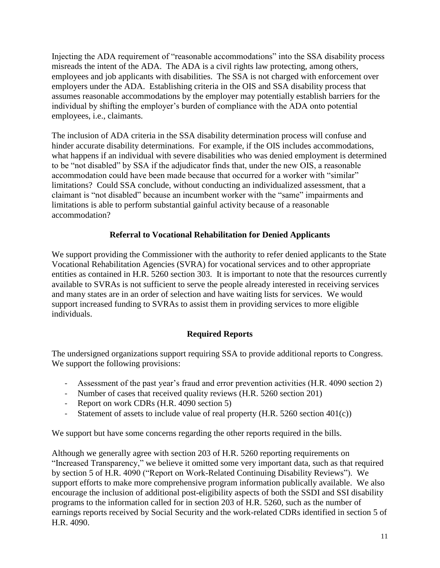Injecting the ADA requirement of "reasonable accommodations" into the SSA disability process misreads the intent of the ADA. The ADA is a civil rights law protecting, among others, employees and job applicants with disabilities. The SSA is not charged with enforcement over employers under the ADA. Establishing criteria in the OIS and SSA disability process that assumes reasonable accommodations by the employer may potentially establish barriers for the individual by shifting the employer's burden of compliance with the ADA onto potential employees, i.e., claimants.

The inclusion of ADA criteria in the SSA disability determination process will confuse and hinder accurate disability determinations. For example, if the OIS includes accommodations, what happens if an individual with severe disabilities who was denied employment is determined to be "not disabled" by SSA if the adjudicator finds that, under the new OIS, a reasonable accommodation could have been made because that occurred for a worker with "similar" limitations? Could SSA conclude, without conducting an individualized assessment, that a claimant is "not disabled" because an incumbent worker with the "same" impairments and limitations is able to perform substantial gainful activity because of a reasonable accommodation?

# **Referral to Vocational Rehabilitation for Denied Applicants**

We support providing the Commissioner with the authority to refer denied applicants to the State Vocational Rehabilitation Agencies (SVRA) for vocational services and to other appropriate entities as contained in H.R. 5260 section 303. It is important to note that the resources currently available to SVRAs is not sufficient to serve the people already interested in receiving services and many states are in an order of selection and have waiting lists for services. We would support increased funding to SVRAs to assist them in providing services to more eligible individuals.

## **Required Reports**

The undersigned organizations support requiring SSA to provide additional reports to Congress. We support the following provisions:

- Assessment of the past year's fraud and error prevention activities (H.R. 4090 section 2)
- Number of cases that received quality reviews (H.R. 5260 section 201)
- Report on work CDRs (H.R. 4090 section 5)
- Statement of assets to include value of real property (H.R. 5260 section 401(c))

We support but have some concerns regarding the other reports required in the bills.

Although we generally agree with section 203 of H.R. 5260 reporting requirements on "Increased Transparency," we believe it omitted some very important data, such as that required by section 5 of H.R. 4090 ("Report on Work-Related Continuing Disability Reviews"). We support efforts to make more comprehensive program information publically available. We also encourage the inclusion of additional post-eligibility aspects of both the SSDI and SSI disability programs to the information called for in section 203 of H.R. 5260, such as the number of earnings reports received by Social Security and the work-related CDRs identified in section 5 of H.R. 4090.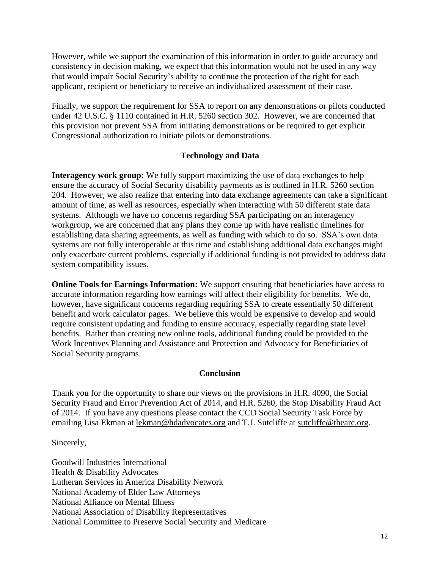However, while we support the examination of this information in order to guide accuracy and consistency in decision making, we expect that this information would not be used in any way that would impair Social Security's ability to continue the protection of the right for each applicant, recipient or beneficiary to receive an individualized assessment of their case.

Finally, we support the requirement for SSA to report on any demonstrations or pilots conducted under 42 U.S.C. § 1110 contained in H.R. 5260 section 302. However, we are concerned that this provision not prevent SSA from initiating demonstrations or be required to get explicit Congressional authorization to initiate pilots or demonstrations.

#### **Technology and Data**

**Interagency work group:** We fully support maximizing the use of data exchanges to help ensure the accuracy of Social Security disability payments as is outlined in H.R. 5260 section 204. However, we also realize that entering into data exchange agreements can take a significant amount of time, as well as resources, especially when interacting with 50 different state data systems. Although we have no concerns regarding SSA participating on an interagency workgroup, we are concerned that any plans they come up with have realistic timelines for establishing data sharing agreements, as well as funding with which to do so. SSA's own data systems are not fully interoperable at this time and establishing additional data exchanges might only exacerbate current problems, especially if additional funding is not provided to address data system compatibility issues.

**Online Tools for Earnings Information:** We support ensuring that beneficiaries have access to accurate information regarding how earnings will affect their eligibility for benefits. We do, however, have significant concerns regarding requiring SSA to create essentially 50 different benefit and work calculator pages. We believe this would be expensive to develop and would require consistent updating and funding to ensure accuracy, especially regarding state level benefits. Rather than creating new online tools, additional funding could be provided to the Work Incentives Planning and Assistance and Protection and Advocacy for Beneficiaries of Social Security programs.

#### **Conclusion**

Thank you for the opportunity to share our views on the provisions in H.R. 4090, the Social Security Fraud and Error Prevention Act of 2014, and H.R. 5260, the Stop Disability Fraud Act of 2014. If you have any questions please contact the CCD Social Security Task Force by emailing Lisa Ekman at [lekman@hdadvocates.org](mailto:lekman@hdadvocates.org) and T.J. Sutcliffe at [sutcliffe@thearc.org.](mailto:sutcliffe@thearc.org)

Sincerely,

Goodwill Industries International Health & Disability Advocates Lutheran Services in America Disability Network National Academy of Elder Law Attorneys National Alliance on Mental Illness National Association of Disability Representatives National Committee to Preserve Social Security and Medicare